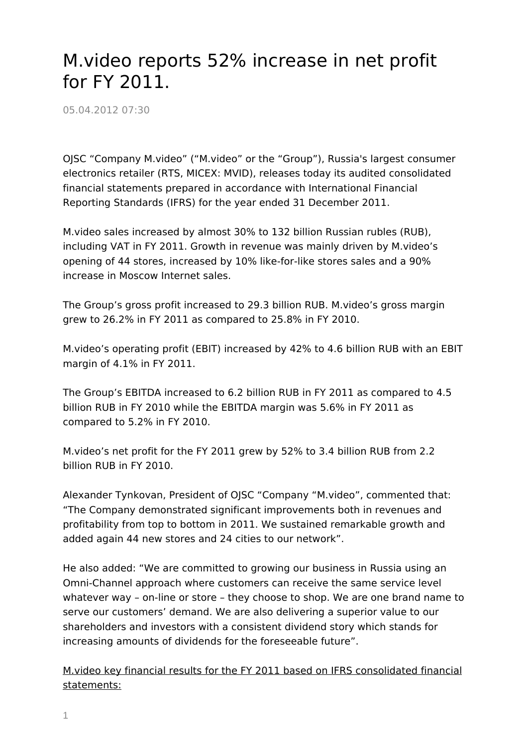## M.video reports 52% increase in net profit for FY 2011.

05.04.2012 07:30

OJSC "Company M.video" ("M.video" or the "Group"), Russia's largest consumer electronics retailer (RTS, MICEX: MVID), releases today its audited consolidated financial statements prepared in accordance with International Financial Reporting Standards (IFRS) for the year ended 31 December 2011.

M.video sales increased by almost 30% to 132 billion Russian rubles (RUB), including VAT in FY 2011. Growth in revenue was mainly driven by M.video's opening of 44 stores, increased by 10% like-for-like stores sales and a 90% increase in Moscow Internet sales.

The Group's gross profit increased to 29.3 billion RUB. M.video's gross margin grew to 26.2% in FY 2011 as compared to 25.8% in FY 2010.

M.video's operating profit (EBIT) increased by 42% to 4.6 billion RUB with an EBIT margin of 4.1% in FY 2011.

The Group's EBITDA increased to 6.2 billion RUB in FY 2011 as compared to 4.5 billion RUB in FY 2010 while the EBITDA margin was 5.6% in FY 2011 as compared to 5.2% in FY 2010.

M.video's net profit for the FY 2011 grew by 52% to 3.4 billion RUB from 2.2 billion RUB in FY 2010.

Alexander Tynkovan, President of OJSC "Company "M.video", commented that: "The Company demonstrated significant improvements both in revenues and profitability from top to bottom in 2011. We sustained remarkable growth and added again 44 new stores and 24 cities to our network".

He also added: "We are committed to growing our business in Russia using an Omni-Channel approach where customers can receive the same service level whatever way – on-line or store – they choose to shop. We are one brand name to serve our customers' demand. We are also delivering a superior value to our shareholders and investors with a consistent dividend story which stands for increasing amounts of dividends for the foreseeable future".

M.video key financial results for the FY 2011 based on IFRS consolidated financial statements: